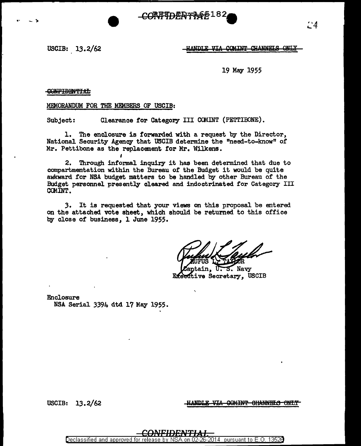66182 **CORFTDERT!** 

USCIB:  $13.2/62$ 

.. - ,.



19 May 1955

GONFIDENTIAL

MEMORANDUM FOR THE MEMBERS OF USCIB:

Subject: Clearance for Category III COMINT (PETTIBONE).

1. The enclosure is forwarded with a request by the Director, National Security Agency that USCIB determine the "need-to-know" of Mr. Pettibone as the replacement for Mr. Wilkens.

2. Through informal inquiry it has been determined that due to compartmentation within the Bureau of the Budget it would be quite awkward for NSA budget matters to be handled by other Bureau of the Budget personnel presently cleared and indoctrinated for Category III CCMINT.

*3.* It is requested that your views on this proposal be entered on the attached. vote sheet, which should be returned to this office by close or business, 1 June 1955.

Navy Executive Secretary, USCIB

Enclosure NSA Serial 3394 dtd 17 May 1955.

USCIB: 13.2/62 *HANDLE VIA GOMINT GHANNELS ONLY* 

Declassified and approved for releas 2014 | pursuant to E.O. 13526